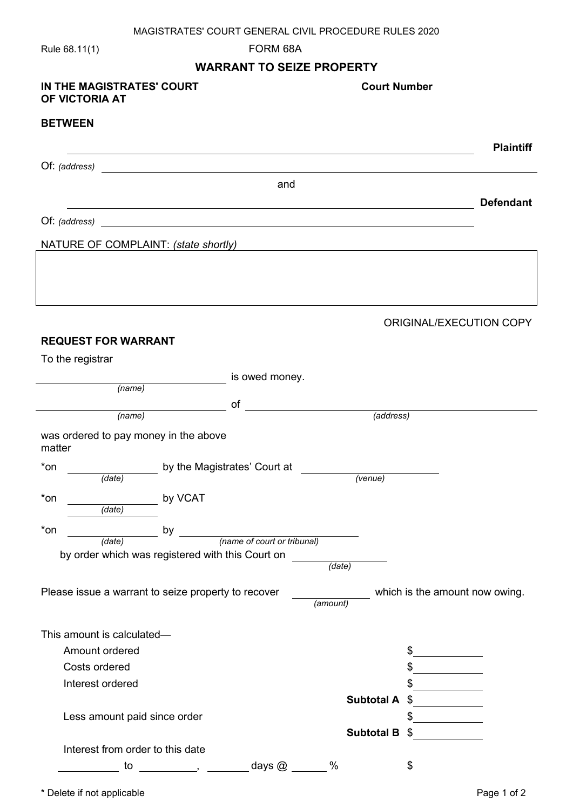## MAGISTRATES' COURT GENERAL CIVIL PROCEDURE RULES 2020

Rule 68.11(1) FORM 68A

## **WARRANT TO SEIZE PROPERTY**

| IN THE MAGISTRATES' COURT<br>OF VICTORIA AT                | <b>Court Number</b>                                                             |
|------------------------------------------------------------|---------------------------------------------------------------------------------|
| <b>BETWEEN</b>                                             |                                                                                 |
|                                                            | <b>Plaintiff</b>                                                                |
|                                                            |                                                                                 |
|                                                            | and                                                                             |
|                                                            | <b>Defendant</b><br><u> 1989 - Johann Stoff, amerikansk politiker (d. 1989)</u> |
|                                                            |                                                                                 |
| NATURE OF COMPLAINT: (state shortly)                       | <u> 1989 - Johann Stein, fransk politik (f. 1989)</u>                           |
|                                                            |                                                                                 |
|                                                            |                                                                                 |
|                                                            | ORIGINAL/EXECUTION COPY                                                         |
| <b>REQUEST FOR WARRANT</b>                                 |                                                                                 |
| To the registrar                                           |                                                                                 |
| (name)                                                     | is owed money.                                                                  |
| of<br>(name)                                               | $\overline{a}$ (address)                                                        |
|                                                            |                                                                                 |
| was ordered to pay money in the above<br>matter            |                                                                                 |
| $*$ on<br>by the Magistrates' Court at<br>(data)           | (venue)                                                                         |
| $*$ on<br>by VCAT                                          |                                                                                 |
| $\overline{$ (date)                                        |                                                                                 |
| $*$ on<br>by                                               | (name of court or tribunal)                                                     |
| (date)<br>by order which was registered with this Court on |                                                                                 |
|                                                            | (date)                                                                          |
| Please issue a warrant to seize property to recover        | which is the amount now owing.<br>(amount)                                      |
| This amount is calculated-                                 |                                                                                 |
| Amount ordered                                             | \$                                                                              |
| Costs ordered                                              |                                                                                 |
| Interest ordered                                           |                                                                                 |
|                                                            | <b>Subtotal A</b><br>\$                                                         |
| Less amount paid since order                               |                                                                                 |
| Interest from order to this date                           | <b>Subtotal B</b><br>S                                                          |
| to                                                         | days $@$<br>$\%$<br>\$                                                          |

<sup>\*</sup> Delete if not applicable **Page 1 of 2** and 2 and 2 and 2 and 2 and 2 and 2 and 2 and 2 and 2 and 2 and 2 and 2 and 2 and 2 and 2 and 2 and 2 and 2 and 2 and 2 and 2 and 2 and 2 and 2 and 2 and 2 and 2 and 2 and 2 and 2 a